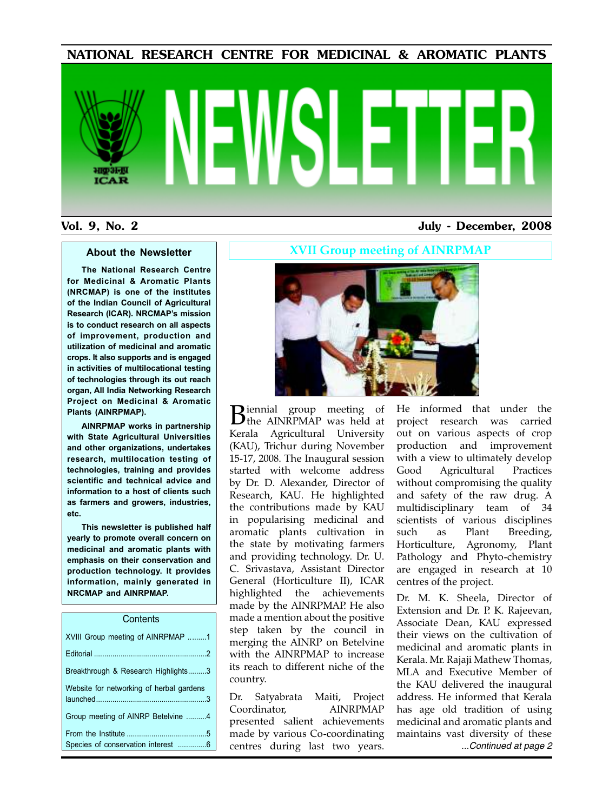NATIONAL RESEARCH CENTRE FOR MEDICINAL & AROMATIC PLANTS

# **ICAR**

## Vol. 9, No. 2 July - December, 2008

### **About the Newsletter**

**The National Research Centre for Medicinal & Aromatic Plants (NRCMAP) is one of the institutes of the Indian Council of Agricultural Research (ICAR). NRCMAP's mission is to conduct research on all aspects of improvement, production and utilization of medicinal and aromatic crops. It also supports and is engaged in activities of multilocational testing of technologies through its out reach organ, All India Networking Research Project on Medicinal & Aromatic Plants (AINRPMAP).**

**AINRPMAP works in partnership with State Agricultural Universities and other organizations, undertakes research, multilocation testing of technologies, training and provides scientific and technical advice and information to a host of clients such as farmers and growers, industries, etc.**

**This newsletter is published half yearly to promote overall concern on medicinal and aromatic plants with emphasis on their conservation and production technology. It provides information, mainly generated in NRCMAP and AINRPMAP.**

### **Contents**

| XVIII Group meeting of AINRPMAP 1        |
|------------------------------------------|
|                                          |
| Breakthrough & Research Highlights3      |
| Website for networking of herbal gardens |
| Group meeting of AINRP Betelvine 4       |
|                                          |
| Species of conservation interest 6       |

**XVII Group meeting of AINRPMAP**



**B**iennial group meeting of<br>
the AINRPMAP was held at **D**iennial group meeting of Kerala Agricultural University (KAU), Trichur during November 15-17, 2008. The Inaugural session started with welcome address by Dr. D. Alexander, Director of Research, KAU. He highlighted the contributions made by KAU in popularising medicinal and aromatic plants cultivation in the state by motivating farmers and providing technology. Dr. U. C. Srivastava, Assistant Director General (Horticulture II), ICAR highlighted the achievements made by the AINRPMAP. He also made a mention about the positive step taken by the council in merging the AINRP on Betelvine with the AINRPMAP to increase its reach to different niche of the country.

Dr. Satyabrata Maiti, Project Coordinator, AINRPMAP presented salient achievements made by various Co-coordinating centres during last two years.

He informed that under the project research was carried out on various aspects of crop production and improvement with a view to ultimately develop Good Agricultural Practices without compromising the quality and safety of the raw drug. A multidisciplinary team of 34 scientists of various disciplines such as Plant Breeding, Horticulture, Agronomy, Plant Pathology and Phyto-chemistry are engaged in research at 10 centres of the project.

Dr. M. K. Sheela, Director of Extension and Dr. P. K. Rajeevan, Associate Dean, KAU expressed their views on the cultivation of medicinal and aromatic plants in Kerala. Mr. Rajaji Mathew Thomas, MLA and Executive Member of the KAU delivered the inaugural address. He informed that Kerala has age old tradition of using medicinal and aromatic plants and maintains vast diversity of these ...Continued at page 2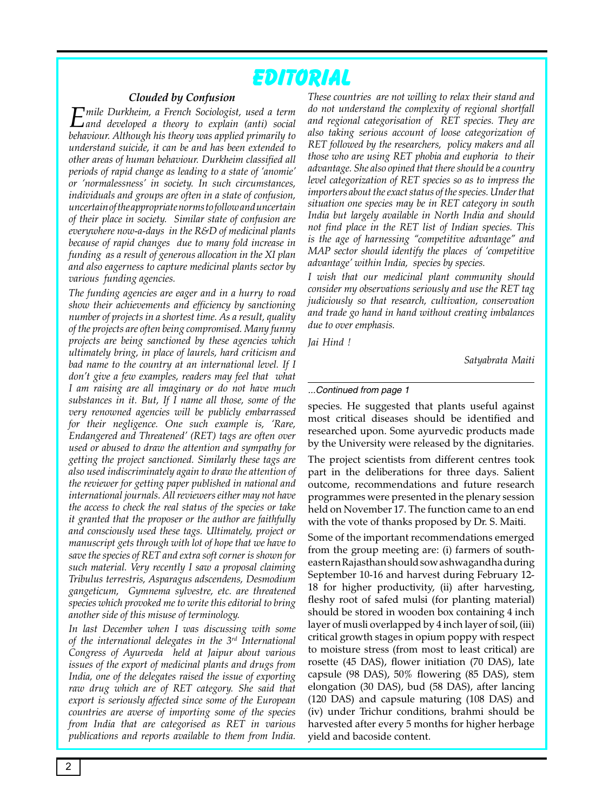# **Editorial**

### *Clouded by Confusion*

*Emile Durkheim, a French Sociologist, used a term and developed a theory to explain (anti) social and developed a theory to explain (anti) social behaviour. Although his theory was applied primarily to understand suicide, it can be and has been extended to other areas of human behaviour. Durkheim classified all periods of rapid change as leading to a state of 'anomie' or 'normalessness' in society. In such circumstances, individuals and groups are often in a state of confusion, uncertain of the appropriate norms to follow and uncertain of their place in society. Similar state of confusion are everywhere now-a-days in the R&D of medicinal plants because of rapid changes due to many fold increase in funding as a result of generous allocation in the XI plan and also eagerness to capture medicinal plants sector by various funding agencies.* 

*The funding agencies are eager and in a hurry to road show their achievements and efficiency by sanctioning number of projects in a shortest time. As a result, quality of the projects are often being compromised. Many funny projects are being sanctioned by these agencies which ultimately bring, in place of laurels, hard criticism and bad name to the country at an international level. If I don't give a few examples, readers may feel that what I am raising are all imaginary or do not have much substances in it. But, If I name all those, some of the very renowned agencies will be publicly embarrassed for their negligence. One such example is, 'Rare, Endangered and Threatened' (RET) tags are often over used or abused to draw the attention and sympathy for getting the project sanctioned. Similarly these tags are also used indiscriminately again to draw the attention of the reviewer for getting paper published in national and international journals. All reviewers either may not have the access to check the real status of the species or take it granted that the proposer or the author are faithfully and consciously used these tags. Ultimately, project or manuscript gets through with lot of hope that we have to save the species of RET and extra soft corner is shown for such material. Very recently I saw a proposal claiming Tribulus terrestris, Asparagus adscendens, Desmodium gangeticum, Gymnema sylvestre, etc. are threatened species which provoked me to write this editorial to bring another side of this misuse of terminology.* 

*In last December when I was discussing with some of the international delegates in the 3rd International Congress of Ayurveda held at Jaipur about various issues of the export of medicinal plants and drugs from India, one of the delegates raised the issue of exporting raw drug which are of RET category. She said that export is seriously affected since some of the European countries are averse of importing some of the species from India that are categorised as RET in various publications and reports available to them from India.* 

*These countries are not willing to relax their stand and do not understand the complexity of regional shortfall and regional categorisation of RET species. They are also taking serious account of loose categorization of RET followed by the researchers, policy makers and all those who are using RET phobia and euphoria to their advantage. She also opined that there should be a country level categorization of RET species so as to impress the importers about the exact status of the species. Under that situation one species may be in RET category in south India but largely available in North India and should not find place in the RET list of Indian species. This is the age of harnessing "competitive advantage" and MAP sector should identify the places of 'competitive advantage' within India, species by species.* 

*I wish that our medicinal plant community should consider my observations seriously and use the RET tag judiciously so that research, cultivation, conservation and trade go hand in hand without creating imbalances due to over emphasis.* 

*Jai Hind !*

*Satyabrata Maiti*

### ...Continued from page 1

species. He suggested that plants useful against most critical diseases should be identified and researched upon. Some ayurvedic products made by the University were released by the dignitaries.

The project scientists from different centres took part in the deliberations for three days. Salient outcome, recommendations and future research programmes were presented in the plenary session held on November 17. The function came to an end with the vote of thanks proposed by Dr. S. Maiti.

Some of the important recommendations emerged from the group meeting are: (i) farmers of southeastern Rajasthan should sow ashwagandha during September 10-16 and harvest during February 12- 18 for higher productivity, (ii) after harvesting, fleshy root of safed mulsi (for planting material) should be stored in wooden box containing 4 inch layer of musli overlapped by 4 inch layer of soil, (iii) critical growth stages in opium poppy with respect to moisture stress (from most to least critical) are rosette (45 DAS), flower initiation (70 DAS), late capsule (98 DAS), 50% flowering (85 DAS), stem elongation (30 DAS), bud (58 DAS), after lancing (120 DAS) and capsule maturing (108 DAS) and (iv) under Trichur conditions, brahmi should be harvested after every 5 months for higher herbage yield and bacoside content.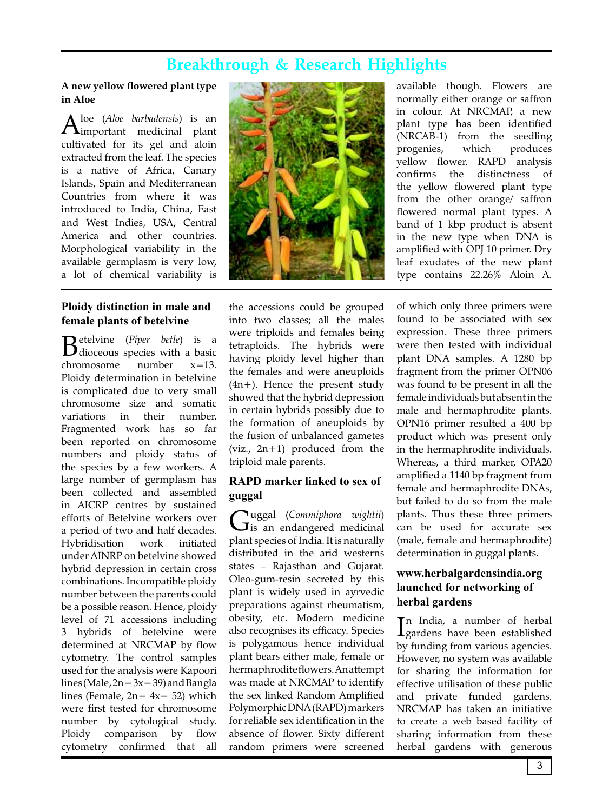# **Breakthrough & Research Highlights**

### **A new yellow flowered plant type in Aloe**

Aloe (Aloe barbadensis) is an<br>Aimportant medicinal plant loe (*Aloe barbadensis*) is an cultivated for its gel and aloin extracted from the leaf. The species is a native of Africa, Canary Islands, Spain and Mediterranean Countries from where it was introduced to India, China, East and West Indies, USA, Central America and other countries. Morphological variability in the available germplasm is very low, a lot of chemical variability is

### **Ploidy distinction in male and female plants of betelvine**

**B** etelvine (*Piper betle*) is a discover of *Piper* better is a hasic dioceous species with a basic chromosome number x=13. Ploidy determination in betelvine is complicated due to very small chromosome size and somatic variations in their number. Fragmented work has so far been reported on chromosome numbers and ploidy status of the species by a few workers. A large number of germplasm has been collected and assembled in AICRP centres by sustained efforts of Betelvine workers over a period of two and half decades. Hybridisation work initiated under AINRP on betelvine showed hybrid depression in certain cross combinations. Incompatible ploidy number between the parents could be a possible reason. Hence, ploidy level of 71 accessions including 3 hybrids of betelvine were determined at NRCMAP by flow cytometry. The control samples used for the analysis were Kapoori lines (Male,  $2n = 3x = 39$ ) and Bangla lines (Female,  $2n = 4x = 52$ ) which were first tested for chromosome number by cytological study. Ploidy comparison by flow cytometry confirmed that all



the accessions could be grouped into two classes; all the males were triploids and females being tetraploids. The hybrids were having ploidy level higher than the females and were aneuploids (4n+). Hence the present study showed that the hybrid depression in certain hybrids possibly due to the formation of aneuploids by the fusion of unbalanced gametes (viz., 2n+1) produced from the triploid male parents.

### **RAPD marker linked to sex of guggal**

Guggal (*Commiphora wightii*)<br>
is an endangered medicinal  $\mathbf{J}$ is an endangered medicinal plant species of India. It is naturally distributed in the arid westerns states – Rajasthan and Gujarat. Oleo-gum-resin secreted by this plant is widely used in ayrvedic preparations against rheumatism, obesity, etc. Modern medicine also recognises its efficacy. Species is polygamous hence individual plant bears either male, female or hermaphrodite flowers. An attempt was made at NRCMAP to identify the sex linked Random Amplified Polymorphic DNA (RAPD) markers for reliable sex identification in the absence of flower. Sixty different random primers were screened

available though. Flowers are normally either orange or saffron in colour. At NRCMAP, a new plant type has been identified (NRCAB-1) from the seedling progenies, which produces yellow flower. RAPD analysis confirms the distinctness of the yellow flowered plant type from the other orange/ saffron flowered normal plant types. A band of 1 kbp product is absent in the new type when DNA is amplified with OPJ 10 primer. Dry leaf exudates of the new plant type contains 22.26% Aloin A.

of which only three primers were found to be associated with sex expression. These three primers were then tested with individual plant DNA samples. A 1280 bp fragment from the primer OPN06 was found to be present in all the female individuals but absent in the male and hermaphrodite plants. OPN16 primer resulted a 400 bp product which was present only in the hermaphrodite individuals. Whereas, a third marker, OPA20 amplified a 1140 bp fragment from female and hermaphrodite DNAs, but failed to do so from the male plants. Thus these three primers can be used for accurate sex (male, female and hermaphrodite) determination in guggal plants.

### **www.herbalgardensindia.org launched for networking of herbal gardens**

In India, a number of herbal<br>Igardens have been established n India, a number of herbal by funding from various agencies. However, no system was available for sharing the information for effective utilisation of these public and private funded gardens. NRCMAP has taken an initiative to create a web based facility of sharing information from these herbal gardens with generous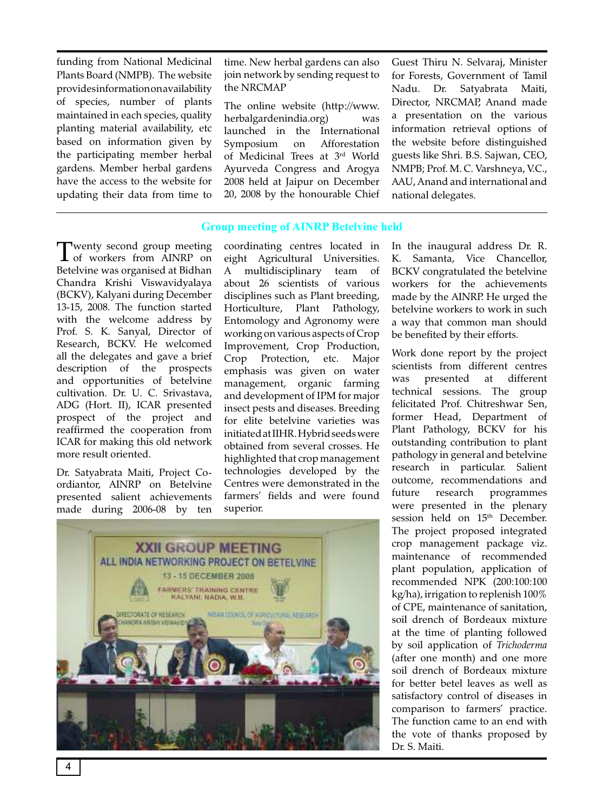funding from National Medicinal Plants Board (NMPB). The website provides information on availability of species, number of plants maintained in each species, quality planting material availability, etc based on information given by the participating member herbal gardens. Member herbal gardens have the access to the website for updating their data from time to

time. New herbal gardens can also join network by sending request to the NRCMAP

The online website (http://www. herbalgardenindia.org) was launched in the International Symposium on Afforestation of Medicinal Trees at 3rd World Ayurveda Congress and Arogya 2008 held at Jaipur on December 20, 2008 by the honourable Chief Guest Thiru N. Selvaraj, Minister for Forests, Government of Tamil Nadu. Dr. Satyabrata Maiti, Director, NRCMAP, Anand made a presentation on the various information retrieval options of the website before distinguished guests like Shri. B.S. Sajwan, CEO, NMPB; Prof. M. C. Varshneya, V.C., AAU, Anand and international and national delegates.

### **Group meeting of AINRP Betelvine held**

Twenty second group meeting<br>
of workers from AINRP on<br>
Ratabing measurements of the Bidless  $\overline{\mathbf{I}}$  of workers from AINRP on Betelvine was organised at Bidhan Chandra Krishi Viswavidyalaya (BCKV), Kalyani during December 13-15, 2008. The function started with the welcome address by Prof. S. K. Sanyal, Director of Research, BCKV. He welcomed all the delegates and gave a brief description of the prospects and opportunities of betelvine cultivation. Dr. U. C. Srivastava, ADG (Hort. II), ICAR presented prospect of the project and reaffirmed the cooperation from ICAR for making this old network more result oriented.

Dr. Satyabrata Maiti, Project Coordiantor, AINRP on Betelvine presented salient achievements made during 2006-08 by ten

coordinating centres located in eight Agricultural Universities. A multidisciplinary team of about 26 scientists of various disciplines such as Plant breeding, Horticulture, Plant Pathology, Entomology and Agronomy were working on various aspects of Crop Improvement, Crop Production, Crop Protection, etc. Major emphasis was given on water management, organic farming and development of IPM for major insect pests and diseases. Breeding for elite betelvine varieties was initiated at IIHR. Hybrid seeds were obtained from several crosses. He highlighted that crop management technologies developed by the Centres were demonstrated in the farmers' fields and were found superior.



In the inaugural address Dr. R. K. Samanta, Vice Chancellor, BCKV congratulated the betelvine workers for the achievements made by the AINRP. He urged the betelvine workers to work in such a way that common man should be benefited by their efforts.

Work done report by the project scientists from different centres was presented at different technical sessions. The group felicitated Prof. Chitreshwar Sen, former Head, Department of Plant Pathology, BCKV for his outstanding contribution to plant pathology in general and betelvine research in particular. Salient outcome, recommendations and future research programmes were presented in the plenary session held on 15<sup>th</sup> December. The project proposed integrated crop management package viz. maintenance of recommended plant population, application of recommended NPK (200:100:100 kg/ha), irrigation to replenish 100% of CPE, maintenance of sanitation, soil drench of Bordeaux mixture at the time of planting followed by soil application of *Trichoderma*  (after one month) and one more soil drench of Bordeaux mixture for better betel leaves as well as satisfactory control of diseases in comparison to farmers' practice. The function came to an end with the vote of thanks proposed by Dr. S. Maiti.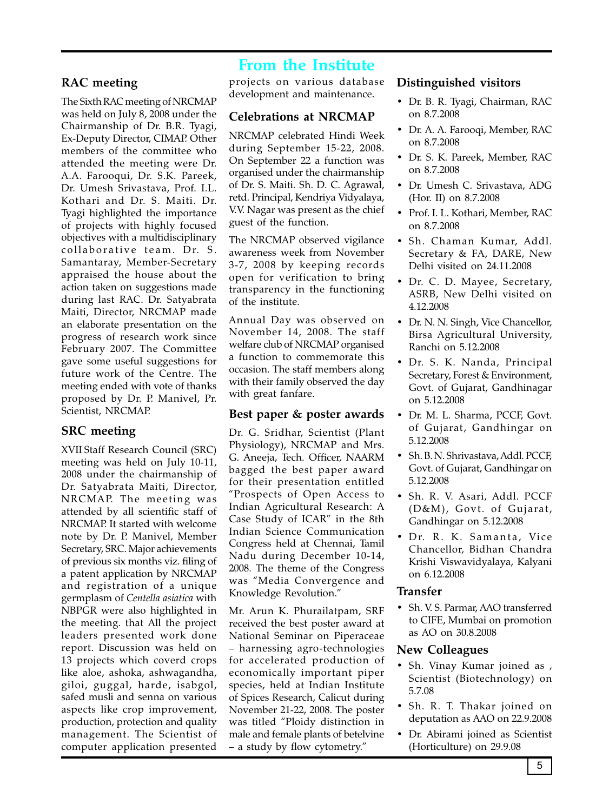# **From the Institute**

### **RAC meeting**

The Sixth RAC meeting of NRCMAP was held on July 8, 2008 under the Chairmanship of Dr. B.R. Tyagi, Ex-Deputy Director, CIMAP. Other members of the committee who attended the meeting were Dr. A.A. Farooqui, Dr. S.K. Pareek, Dr. Umesh Srivastava, Prof. I.L. Kothari and Dr. S. Maiti. Dr. Tyagi highlighted the importance of projects with highly focused objectives with a multidisciplinary collaborative team. Dr. S. Samantaray, Member-Secretary appraised the house about the action taken on suggestions made during last RAC. Dr. Satyabrata Maiti, Director, NRCMAP made an elaborate presentation on the progress of research work since February 2007. The Committee gave some useful suggestions for future work of the Centre. The meeting ended with vote of thanks proposed by Dr. P. Manivel, Pr. Scientist, NRCMAP.

### **SRC meeting**

XVII Staff Research Council (SRC) meeting was held on July 10-11, 2008 under the chairmanship of Dr. Satyabrata Maiti, Director, NRCMAP. The meeting was attended by all scientific staff of NRCMAP. It started with welcome note by Dr. P. Manivel, Member Secretary, SRC. Major achievements of previous six months viz. filing of a patent application by NRCMAP and registration of a unique germplasm of *Centella asiatica* with NBPGR were also highlighted in the meeting. that All the project leaders presented work done report. Discussion was held on 13 projects which coverd crops like aloe, ashoka, ashwagandha, giloi, guggal, harde, isabgol, safed musli and senna on various aspects like crop improvement, production, protection and quality management. The Scientist of computer application presented

projects on various database development and maintenance.

### **Celebrations at NRCMAP**

NRCMAP celebrated Hindi Week during September 15-22, 2008. On September 22 a function was organised under the chairmanship of Dr. S. Maiti. Sh. D. C. Agrawal, retd. Principal, Kendriya Vidyalaya, V.V. Nagar was present as the chief guest of the function.

The NRCMAP observed vigilance awareness week from November 3-7, 2008 by keeping records open for verification to bring transparency in the functioning of the institute.

Annual Day was observed on November 14, 2008. The staff welfare club of NRCMAP organised a function to commemorate this occasion. The staff members along with their family observed the day with great fanfare.

### **Best paper & poster awards**

Dr. G. Sridhar, Scientist (Plant Physiology), NRCMAP and Mrs. G. Aneeja, Tech. Officer, NAARM bagged the best paper award for their presentation entitled "Prospects of Open Access to Indian Agricultural Research: A Case Study of ICAR" in the 8th Indian Science Communication Congress held at Chennai, Tamil Nadu during December 10-14, 2008. The theme of the Congress was "Media Convergence and Knowledge Revolution."

Mr. Arun K. Phurailatpam, SRF received the best poster award at National Seminar on Piperaceae – harnessing agro-technologies for accelerated production of economically important piper species, held at Indian Institute of Spices Research, Calicut during November 21-22, 2008. The poster was titled "Ploidy distinction in male and female plants of betelvine – a study by flow cytometry."

### **Distinguished visitors**

- Dr. B. R. Tyagi, Chairman, RAC on 8.7.2008
- Dr. A. A. Farooqi, Member, RAC on 8.7.2008
- Dr. S. K. Pareek, Member, RAC on 8.7.2008
- Dr. Umesh C. Srivastava, ADG (Hor. II) on 8.7.2008
- Prof. I. L. Kothari, Member, RAC on 8.7.2008
- Sh. Chaman Kumar, Addl. Secretary & FA, DARE, New Delhi visited on 24.11.2008
- Dr. C. D. Mayee, Secretary, ASRB, New Delhi visited on 4.12.2008
- Dr. N. N. Singh, Vice Chancellor, Birsa Agricultural University, Ranchi on 5.12.2008
- Dr. S. K. Nanda, Principal Secretary, Forest & Environment, Govt. of Gujarat, Gandhinagar on 5.12.2008
- Dr. M. L. Sharma, PCCF, Govt. of Gujarat, Gandhingar on 5.12.2008
- Sh. B. N. Shrivastava, Addl. PCCF, Govt. of Gujarat, Gandhingar on 5.12.2008
- Sh. R. V. Asari, Addl. PCCF (D&M), Govt. of Gujarat, Gandhingar on 5.12.2008
- · Dr. R. K. Samanta, Vice Chancellor, Bidhan Chandra Krishi Viswavidyalaya, Kalyani on 6.12.2008

### **Transfer**

• Sh. V. S. Parmar, AAO transferred to CIFE, Mumbai on promotion as AO on 30.8.2008

### **New Colleagues**

- Sh. Vinay Kumar joined as , Scientist (Biotechnology) on 5.7.08
- Sh. R. T. Thakar joined on deputation as AAO on 22.9.2008
- Dr. Abirami joined as Scientist (Horticulture) on 29.9.08